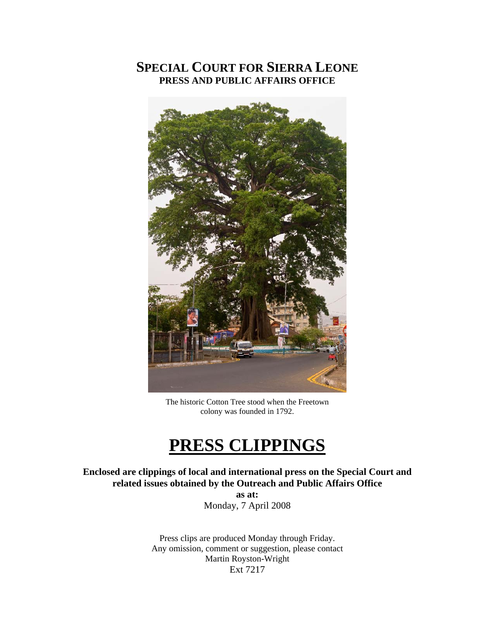# **SPECIAL COURT FOR SIERRA LEONE PRESS AND PUBLIC AFFAIRS OFFICE**



The historic Cotton Tree stood when the Freetown colony was founded in 1792.

# **PRESS CLIPPINGS**

**Enclosed are clippings of local and international press on the Special Court and related issues obtained by the Outreach and Public Affairs Office** 

**as at:**  Monday, 7 April 2008

Press clips are produced Monday through Friday. Any omission, comment or suggestion, please contact Martin Royston-Wright Ext 7217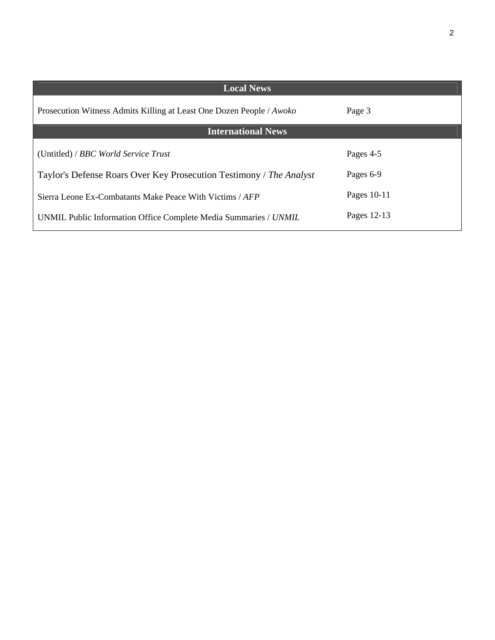| <b>Local News</b>                                                    |             |
|----------------------------------------------------------------------|-------------|
| Prosecution Witness Admits Killing at Least One Dozen People / Awoko | Page 3      |
| <b>International News</b>                                            |             |
| (Untitled) / BBC World Service Trust                                 | Pages 4-5   |
| Taylor's Defense Roars Over Key Prosecution Testimony / The Analyst  | Pages 6-9   |
| Sierra Leone Ex-Combatants Make Peace With Victims / AFP             | Pages 10-11 |
| UNMIL Public Information Office Complete Media Summaries / UNMIL     | Pages 12-13 |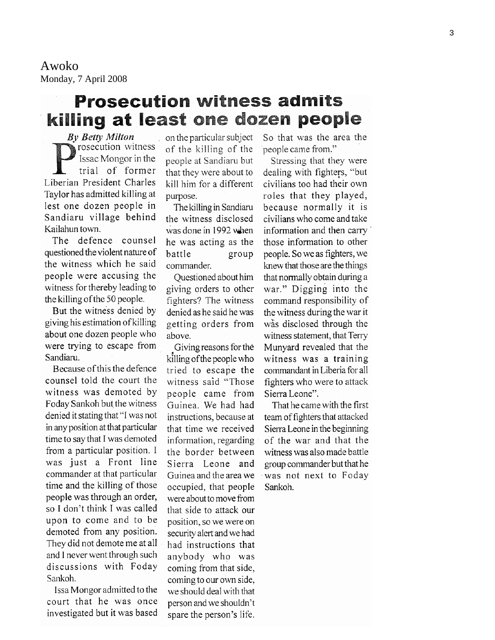Awoko Monday, 7 April 2008

# **Prosecution witness admits** killing at least one dozen people

**By Betty Milton** rosecution witness Issac Mongor in the trial of former Liberian President Charles Taylor has admitted killing at lest one dozen people in Sandiaru village behind Kailahun town.

The defence counsel questioned the violent nature of the witness which he said people were accusing the witness for thereby leading to the killing of the 50 people.

But the witness denied by giving his estimation of killing about one dozen people who were trying to escape from Sandiaru.

Because of this the defence counsel told the court the witness was demoted by Foday Sankoh but the witness denied it stating that "I was not in any position at that particular time to say that I was demoted from a particular position. I was just a Front line commander at that particular time and the killing of those people was through an order, so I don't think I was called upon to come and to be demoted from any position. They did not demote me at all and I never went through such discussions with Foday Sankoh.

Issa Mongor admitted to the court that he was once investigated but it was based on the particular subject of the killing of the people at Sandiaru but that they were about to kill him for a different purpose.

The killing in Sandiaru the witness disclosed was done in 1992 when he was acting as the battle group commander.

Ouestioned about him giving orders to other fighters? The witness denied as he said he was getting orders from above.

Giving reasons for the killing of the people who tried to escape the witness said "Those people came from Guinea. We had had instructions, because at that time we received information, regarding the border between Sierra Leone and Guinea and the area we occupied, that people were about to move from that side to attack our position, so we were on security alert and we had had instructions that anybody who was coming from that side, coming to our own side, we should deal with that person and we shouldn't spare the person's life.

So that was the area the people came from."

Stressing that they were dealing with fighters, "but civilians too had their own roles that they played, because normally it is civilians who come and take information and then carry those information to other people. So we as fighters, we knew that those are the things that normally obtain during a war." Digging into the command responsibility of the witness during the war it was disclosed through the witness statement, that Terry Munyard revealed that the witness was a training commandant in Liberia for all fighters who were to attack Sierra Leone".

That he came with the first team of fighters that attacked Sierra Leone in the beginning of the war and that the witness was also made battle group commander but that he was not next to Foday Sankoh.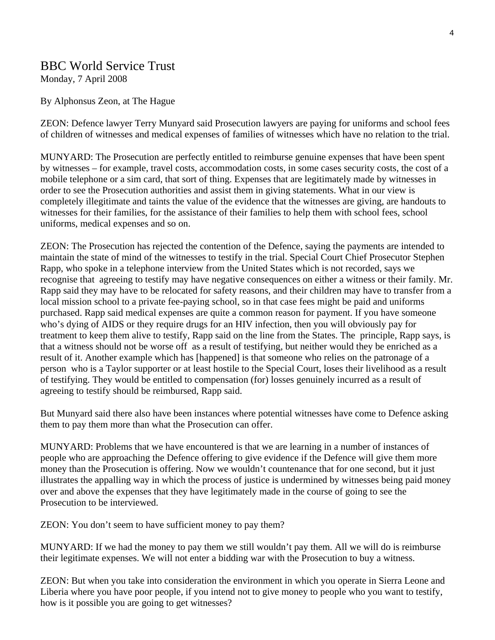## BBC World Service Trust

Monday, 7 April 2008

## By Alphonsus Zeon, at The Hague

ZEON: Defence lawyer Terry Munyard said Prosecution lawyers are paying for uniforms and school fees of children of witnesses and medical expenses of families of witnesses which have no relation to the trial.

MUNYARD: The Prosecution are perfectly entitled to reimburse genuine expenses that have been spent by witnesses – for example, travel costs, accommodation costs, in some cases security costs, the cost of a mobile telephone or a sim card, that sort of thing. Expenses that are legitimately made by witnesses in order to see the Prosecution authorities and assist them in giving statements. What in our view is completely illegitimate and taints the value of the evidence that the witnesses are giving, are handouts to witnesses for their families, for the assistance of their families to help them with school fees, school uniforms, medical expenses and so on.

ZEON: The Prosecution has rejected the contention of the Defence, saying the payments are intended to maintain the state of mind of the witnesses to testify in the trial. Special Court Chief Prosecutor Stephen Rapp, who spoke in a telephone interview from the United States which is not recorded, says we recognise that agreeing to testify may have negative consequences on either a witness or their family. Mr. Rapp said they may have to be relocated for safety reasons, and their children may have to transfer from a local mission school to a private fee-paying school, so in that case fees might be paid and uniforms purchased. Rapp said medical expenses are quite a common reason for payment. If you have someone who's dying of AIDS or they require drugs for an HIV infection, then you will obviously pay for treatment to keep them alive to testify, Rapp said on the line from the States. The principle, Rapp says, is that a witness should not be worse off as a result of testifying, but neither would they be enriched as a result of it. Another example which has [happened] is that someone who relies on the patronage of a person who is a Taylor supporter or at least hostile to the Special Court, loses their livelihood as a result of testifying. They would be entitled to compensation (for) losses genuinely incurred as a result of agreeing to testify should be reimbursed, Rapp said.

But Munyard said there also have been instances where potential witnesses have come to Defence asking them to pay them more than what the Prosecution can offer.

MUNYARD: Problems that we have encountered is that we are learning in a number of instances of people who are approaching the Defence offering to give evidence if the Defence will give them more money than the Prosecution is offering. Now we wouldn't countenance that for one second, but it just illustrates the appalling way in which the process of justice is undermined by witnesses being paid money over and above the expenses that they have legitimately made in the course of going to see the Prosecution to be interviewed.

ZEON: You don't seem to have sufficient money to pay them?

MUNYARD: If we had the money to pay them we still wouldn't pay them. All we will do is reimburse their legitimate expenses. We will not enter a bidding war with the Prosecution to buy a witness.

ZEON: But when you take into consideration the environment in which you operate in Sierra Leone and Liberia where you have poor people, if you intend not to give money to people who you want to testify, how is it possible you are going to get witnesses?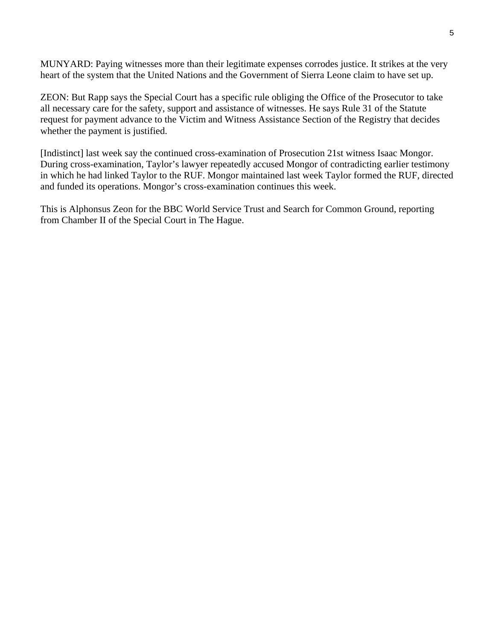MUNYARD: Paying witnesses more than their legitimate expenses corrodes justice. It strikes at the very heart of the system that the United Nations and the Government of Sierra Leone claim to have set up.

ZEON: But Rapp says the Special Court has a specific rule obliging the Office of the Prosecutor to take all necessary care for the safety, support and assistance of witnesses. He says Rule 31 of the Statute request for payment advance to the Victim and Witness Assistance Section of the Registry that decides whether the payment is justified.

[Indistinct] last week say the continued cross-examination of Prosecution 21st witness Isaac Mongor. During cross-examination, Taylor's lawyer repeatedly accused Mongor of contradicting earlier testimony in which he had linked Taylor to the RUF. Mongor maintained last week Taylor formed the RUF, directed and funded its operations. Mongor's cross-examination continues this week.

This is Alphonsus Zeon for the BBC World Service Trust and Search for Common Ground, reporting from Chamber II of the Special Court in The Hague.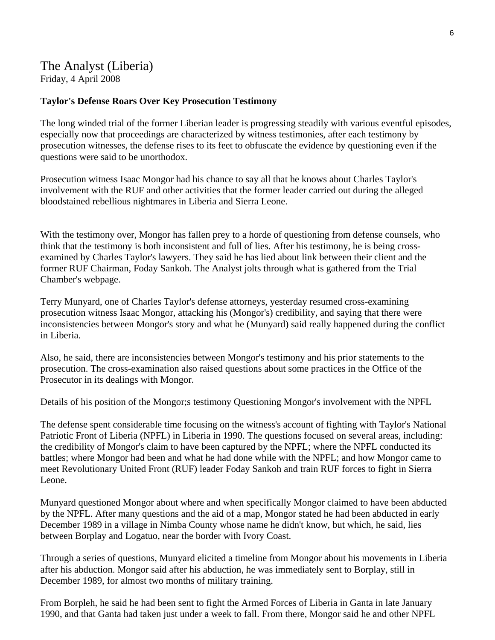## The Analyst (Liberia) Friday, 4 April 2008

#### **Taylor's Defense Roars Over Key Prosecution Testimony**

The long winded trial of the former Liberian leader is progressing steadily with various eventful episodes, especially now that proceedings are characterized by witness testimonies, after each testimony by prosecution witnesses, the defense rises to its feet to obfuscate the evidence by questioning even if the questions were said to be unorthodox.

Prosecution witness Isaac Mongor had his chance to say all that he knows about Charles Taylor's involvement with the RUF and other activities that the former leader carried out during the alleged bloodstained rebellious nightmares in Liberia and Sierra Leone.

With the testimony over, Mongor has fallen prey to a horde of questioning from defense counsels, who think that the testimony is both inconsistent and full of lies. After his testimony, he is being crossexamined by Charles Taylor's lawyers. They said he has lied about link between their client and the former RUF Chairman, Foday Sankoh. The Analyst jolts through what is gathered from the Trial Chamber's webpage.

Terry Munyard, one of Charles Taylor's defense attorneys, yesterday resumed cross-examining prosecution witness Isaac Mongor, attacking his (Mongor's) credibility, and saying that there were inconsistencies between Mongor's story and what he (Munyard) said really happened during the conflict in Liberia.

Also, he said, there are inconsistencies between Mongor's testimony and his prior statements to the prosecution. The cross-examination also raised questions about some practices in the Office of the Prosecutor in its dealings with Mongor.

Details of his position of the Mongor;s testimony Questioning Mongor's involvement with the NPFL

The defense spent considerable time focusing on the witness's account of fighting with Taylor's National Patriotic Front of Liberia (NPFL) in Liberia in 1990. The questions focused on several areas, including: the credibility of Mongor's claim to have been captured by the NPFL; where the NPFL conducted its battles; where Mongor had been and what he had done while with the NPFL; and how Mongor came to meet Revolutionary United Front (RUF) leader Foday Sankoh and train RUF forces to fight in Sierra Leone.

Munyard questioned Mongor about where and when specifically Mongor claimed to have been abducted by the NPFL. After many questions and the aid of a map, Mongor stated he had been abducted in early December 1989 in a village in Nimba County whose name he didn't know, but which, he said, lies between Borplay and Logatuo, near the border with Ivory Coast.

Through a series of questions, Munyard elicited a timeline from Mongor about his movements in Liberia after his abduction. Mongor said after his abduction, he was immediately sent to Borplay, still in December 1989, for almost two months of military training.

From Borpleh, he said he had been sent to fight the Armed Forces of Liberia in Ganta in late January 1990, and that Ganta had taken just under a week to fall. From there, Mongor said he and other NPFL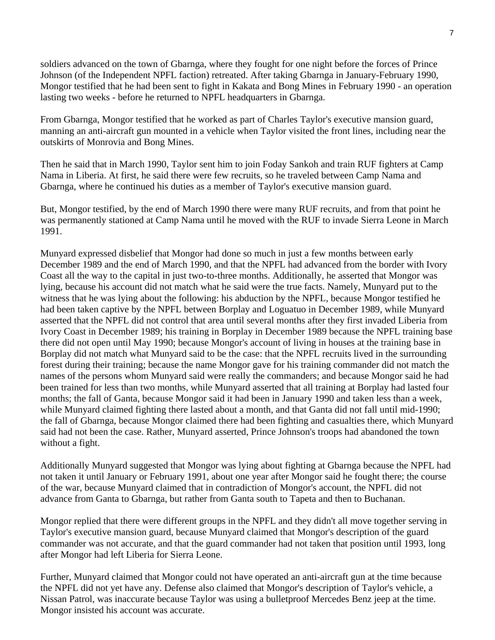soldiers advanced on the town of Gbarnga, where they fought for one night before the forces of Prince Johnson (of the Independent NPFL faction) retreated. After taking Gbarnga in January-February 1990, Mongor testified that he had been sent to fight in Kakata and Bong Mines in February 1990 - an operation lasting two weeks - before he returned to NPFL headquarters in Gbarnga.

From Gbarnga, Mongor testified that he worked as part of Charles Taylor's executive mansion guard, manning an anti-aircraft gun mounted in a vehicle when Taylor visited the front lines, including near the outskirts of Monrovia and Bong Mines.

Then he said that in March 1990, Taylor sent him to join Foday Sankoh and train RUF fighters at Camp Nama in Liberia. At first, he said there were few recruits, so he traveled between Camp Nama and Gbarnga, where he continued his duties as a member of Taylor's executive mansion guard.

But, Mongor testified, by the end of March 1990 there were many RUF recruits, and from that point he was permanently stationed at Camp Nama until he moved with the RUF to invade Sierra Leone in March 1991.

Munyard expressed disbelief that Mongor had done so much in just a few months between early December 1989 and the end of March 1990, and that the NPFL had advanced from the border with Ivory Coast all the way to the capital in just two-to-three months. Additionally, he asserted that Mongor was lying, because his account did not match what he said were the true facts. Namely, Munyard put to the witness that he was lying about the following: his abduction by the NPFL, because Mongor testified he had been taken captive by the NPFL between Borplay and Loguatuo in December 1989, while Munyard asserted that the NPFL did not control that area until several months after they first invaded Liberia from Ivory Coast in December 1989; his training in Borplay in December 1989 because the NPFL training base there did not open until May 1990; because Mongor's account of living in houses at the training base in Borplay did not match what Munyard said to be the case: that the NPFL recruits lived in the surrounding forest during their training; because the name Mongor gave for his training commander did not match the names of the persons whom Munyard said were really the commanders; and because Mongor said he had been trained for less than two months, while Munyard asserted that all training at Borplay had lasted four months; the fall of Ganta, because Mongor said it had been in January 1990 and taken less than a week, while Munyard claimed fighting there lasted about a month, and that Ganta did not fall until mid-1990; the fall of Gbarnga, because Mongor claimed there had been fighting and casualties there, which Munyard said had not been the case. Rather, Munyard asserted, Prince Johnson's troops had abandoned the town without a fight.

Additionally Munyard suggested that Mongor was lying about fighting at Gbarnga because the NPFL had not taken it until January or February 1991, about one year after Mongor said he fought there; the course of the war, because Munyard claimed that in contradiction of Mongor's account, the NPFL did not advance from Ganta to Gbarnga, but rather from Ganta south to Tapeta and then to Buchanan.

Mongor replied that there were different groups in the NPFL and they didn't all move together serving in Taylor's executive mansion guard, because Munyard claimed that Mongor's description of the guard commander was not accurate, and that the guard commander had not taken that position until 1993, long after Mongor had left Liberia for Sierra Leone.

Further, Munyard claimed that Mongor could not have operated an anti-aircraft gun at the time because the NPFL did not yet have any. Defense also claimed that Mongor's description of Taylor's vehicle, a Nissan Patrol, was inaccurate because Taylor was using a bulletproof Mercedes Benz jeep at the time. Mongor insisted his account was accurate.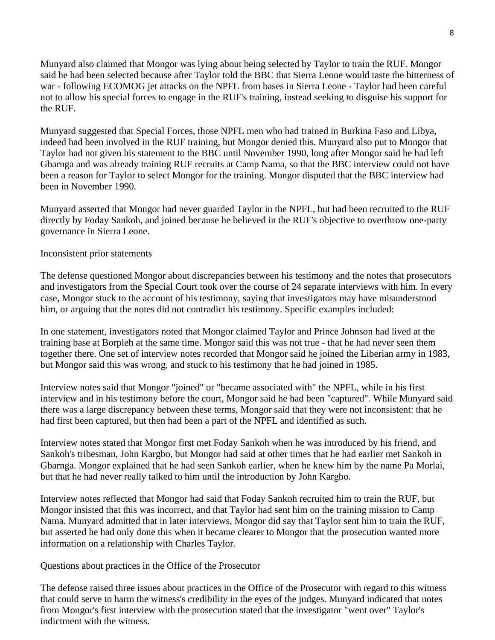Munyard also claimed that Mongor was lying about being selected by Taylor to train the RUF. Mongor said he had been selected because after Taylor told the BBC that Sierra Leone would taste the bitterness of war - following ECOMOG jet attacks on the NPFL from bases in Sierra Leone - Taylor had been careful not to allow his special forces to engage in the RUF's training, instead seeking to disguise his support for the RUF.

Munyard suggested that Special Forces, those NPFL men who had trained in Burkina Faso and Libya, indeed had been involved in the RUF training, but Mongor denied this. Munyard also put to Mongor that Taylor had not given his statement to the BBC until November 1990, long after Mongor said he had left Gbarnga and was already training RUF recruits at Camp Nama, so that the BBC interview could not have been a reason for Taylor to select Mongor for the training. Mongor disputed that the BBC interview had been in November 1990.

Munyard asserted that Mongor had never guarded Taylor in the NPFL, but had been recruited to the RUF directly by Foday Sankoh, and joined because he believed in the RUF's objective to overthrow one-party governance in Sierra Leone.

## Inconsistent prior statements

The defense questioned Mongor about discrepancies between his testimony and the notes that prosecutors and investigators from the Special Court took over the course of 24 separate interviews with him. In every case, Mongor stuck to the account of his testimony, saying that investigators may have misunderstood him, or arguing that the notes did not contradict his testimony. Specific examples included:

In one statement, investigators noted that Mongor claimed Taylor and Prince Johnson had lived at the training base at Borpleh at the same time. Mongor said this was not true - that he had never seen them together there. One set of interview notes recorded that Mongor said he joined the Liberian army in 1983, but Mongor said this was wrong, and stuck to his testimony that he had joined in 1985.

Interview notes said that Mongor "joined" or "became associated with" the NPFL, while in his first interview and in his testimony before the court, Mongor said he had been "captured". While Munyard said there was a large discrepancy between these terms, Mongor said that they were not inconsistent: that he had first been captured, but then had been a part of the NPFL and identified as such.

Interview notes stated that Mongor first met Foday Sankoh when he was introduced by his friend, and Sankoh's tribesman, John Kargbo, but Mongor had said at other times that he had earlier met Sankoh in Gbarnga. Mongor explained that he had seen Sankoh earlier, when he knew him by the name Pa Morlai, but that he had never really talked to him until the introduction by John Kargbo.

Interview notes reflected that Mongor had said that Foday Sankoh recruited him to train the RUF, but Mongor insisted that this was incorrect, and that Taylor had sent him on the training mission to Camp Nama. Munyard admitted that in later interviews, Mongor did say that Taylor sent him to train the RUF, but asserted he had only done this when it became clearer to Mongor that the prosecution wanted more information on a relationship with Charles Taylor.

Questions about practices in the Office of the Prosecutor

The defense raised three issues about practices in the Office of the Prosecutor with regard to this witness that could serve to harm the witness's credibility in the eyes of the judges. Munyard indicated that notes from Mongor's first interview with the prosecution stated that the investigator "went over" Taylor's indictment with the witness.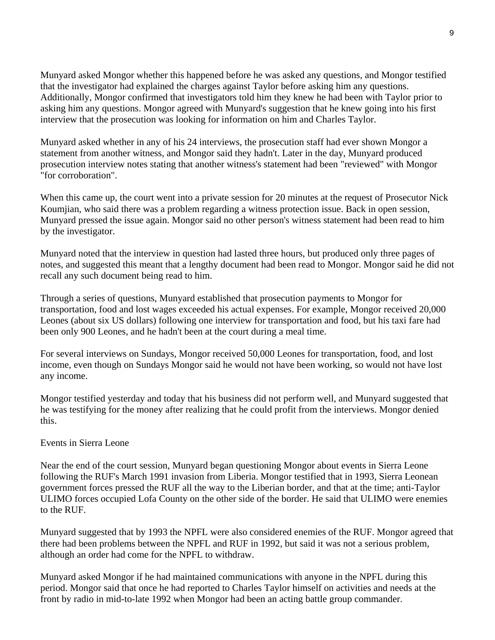Munyard asked Mongor whether this happened before he was asked any questions, and Mongor testified that the investigator had explained the charges against Taylor before asking him any questions. Additionally, Mongor confirmed that investigators told him they knew he had been with Taylor prior to asking him any questions. Mongor agreed with Munyard's suggestion that he knew going into his first interview that the prosecution was looking for information on him and Charles Taylor.

Munyard asked whether in any of his 24 interviews, the prosecution staff had ever shown Mongor a statement from another witness, and Mongor said they hadn't. Later in the day, Munyard produced prosecution interview notes stating that another witness's statement had been "reviewed" with Mongor "for corroboration".

When this came up, the court went into a private session for 20 minutes at the request of Prosecutor Nick Koumjian, who said there was a problem regarding a witness protection issue. Back in open session, Munyard pressed the issue again. Mongor said no other person's witness statement had been read to him by the investigator.

Munyard noted that the interview in question had lasted three hours, but produced only three pages of notes, and suggested this meant that a lengthy document had been read to Mongor. Mongor said he did not recall any such document being read to him.

Through a series of questions, Munyard established that prosecution payments to Mongor for transportation, food and lost wages exceeded his actual expenses. For example, Mongor received 20,000 Leones (about six US dollars) following one interview for transportation and food, but his taxi fare had been only 900 Leones, and he hadn't been at the court during a meal time.

For several interviews on Sundays, Mongor received 50,000 Leones for transportation, food, and lost income, even though on Sundays Mongor said he would not have been working, so would not have lost any income.

Mongor testified yesterday and today that his business did not perform well, and Munyard suggested that he was testifying for the money after realizing that he could profit from the interviews. Mongor denied this.

## Events in Sierra Leone

Near the end of the court session, Munyard began questioning Mongor about events in Sierra Leone following the RUF's March 1991 invasion from Liberia. Mongor testified that in 1993, Sierra Leonean government forces pressed the RUF all the way to the Liberian border, and that at the time; anti-Taylor ULIMO forces occupied Lofa County on the other side of the border. He said that ULIMO were enemies to the RUF.

Munyard suggested that by 1993 the NPFL were also considered enemies of the RUF. Mongor agreed that there had been problems between the NPFL and RUF in 1992, but said it was not a serious problem, although an order had come for the NPFL to withdraw.

Munyard asked Mongor if he had maintained communications with anyone in the NPFL during this period. Mongor said that once he had reported to Charles Taylor himself on activities and needs at the front by radio in mid-to-late 1992 when Mongor had been an acting battle group commander.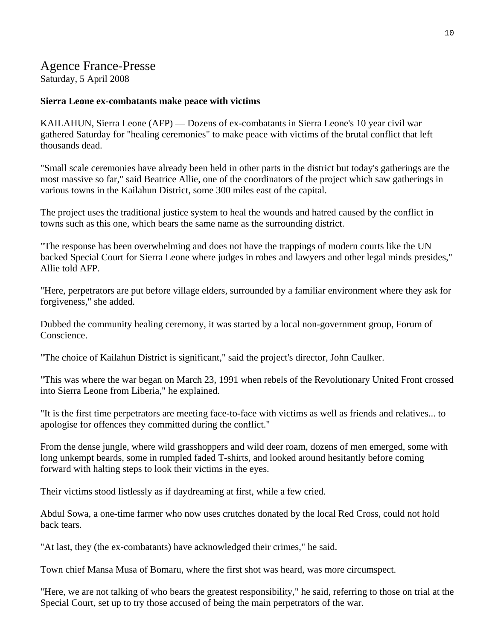## Agence France-Presse

Saturday, 5 April 2008

## **Sierra Leone ex-combatants make peace with victims**

KAILAHUN, Sierra Leone (AFP) — Dozens of ex-combatants in Sierra Leone's 10 year civil war gathered Saturday for "healing ceremonies" to make peace with victims of the brutal conflict that left thousands dead.

"Small scale ceremonies have already been held in other parts in the district but today's gatherings are the most massive so far," said Beatrice Allie, one of the coordinators of the project which saw gatherings in various towns in the Kailahun District, some 300 miles east of the capital.

The project uses the traditional justice system to heal the wounds and hatred caused by the conflict in towns such as this one, which bears the same name as the surrounding district.

"The response has been overwhelming and does not have the trappings of modern courts like the UN backed Special Court for Sierra Leone where judges in robes and lawyers and other legal minds presides," Allie told AFP.

"Here, perpetrators are put before village elders, surrounded by a familiar environment where they ask for forgiveness," she added.

Dubbed the community healing ceremony, it was started by a local non-government group, Forum of Conscience.

"The choice of Kailahun District is significant," said the project's director, John Caulker.

"This was where the war began on March 23, 1991 when rebels of the Revolutionary United Front crossed into Sierra Leone from Liberia," he explained.

"It is the first time perpetrators are meeting face-to-face with victims as well as friends and relatives... to apologise for offences they committed during the conflict."

From the dense jungle, where wild grasshoppers and wild deer roam, dozens of men emerged, some with long unkempt beards, some in rumpled faded T-shirts, and looked around hesitantly before coming forward with halting steps to look their victims in the eyes.

Their victims stood listlessly as if daydreaming at first, while a few cried.

Abdul Sowa, a one-time farmer who now uses crutches donated by the local Red Cross, could not hold back tears.

"At last, they (the ex-combatants) have acknowledged their crimes," he said.

Town chief Mansa Musa of Bomaru, where the first shot was heard, was more circumspect.

"Here, we are not talking of who bears the greatest responsibility," he said, referring to those on trial at the Special Court, set up to try those accused of being the main perpetrators of the war.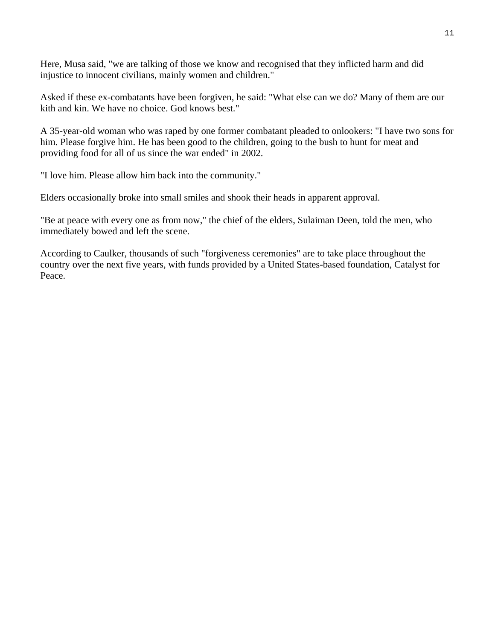Here, Musa said, "we are talking of those we know and recognised that they inflicted harm and did injustice to innocent civilians, mainly women and children."

Asked if these ex-combatants have been forgiven, he said: "What else can we do? Many of them are our kith and kin. We have no choice. God knows best."

A 35-year-old woman who was raped by one former combatant pleaded to onlookers: "I have two sons for him. Please forgive him. He has been good to the children, going to the bush to hunt for meat and providing food for all of us since the war ended" in 2002.

"I love him. Please allow him back into the community."

Elders occasionally broke into small smiles and shook their heads in apparent approval.

"Be at peace with every one as from now," the chief of the elders, Sulaiman Deen, told the men, who immediately bowed and left the scene.

According to Caulker, thousands of such "forgiveness ceremonies" are to take place throughout the country over the next five years, with funds provided by a United States-based foundation, Catalyst for Peace.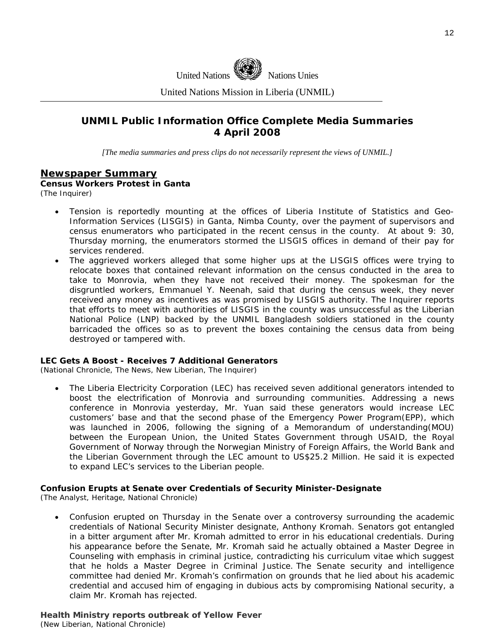

United Nations Mission in Liberia (UNMIL)

## **UNMIL Public Information Office Complete Media Summaries 4 April 2008**

*[The media summaries and press clips do not necessarily represent the views of UNMIL.]* 

## **Newspaper Summary**

**Census Workers Protest in Ganta**  (The Inquirer)

- Tension is reportedly mounting at the offices of Liberia Institute of Statistics and Geo-Information Services (LISGIS) in Ganta, Nimba County, over the payment of supervisors and census enumerators who participated in the recent census in the county. At about 9: 30, Thursday morning, the enumerators stormed the LISGIS offices in demand of their pay for services rendered.
- The aggrieved workers alleged that some higher ups at the LISGIS offices were trying to relocate boxes that contained relevant information on the census conducted in the area to take to Monrovia, when they have not received their money. The spokesman for the disgruntled workers, Emmanuel Y. Neenah, said that during the census week, they never received any money as incentives as was promised by LISGIS authority. The Inquirer reports that efforts to meet with authorities of LISGIS in the county was unsuccessful as the Liberian National Police (LNP) backed by the UNMIL Bangladesh soldiers stationed in the county barricaded the offices so as to prevent the boxes containing the census data from being destroyed or tampered with.

#### **LEC Gets A Boost - Receives 7 Additional Generators**

(National Chronicle, The News, New Liberian, The Inquirer)

• The Liberia Electricity Corporation (LEC) has received seven additional generators intended to boost the electrification of Monrovia and surrounding communities. Addressing a news conference in Monrovia yesterday, Mr. Yuan said these generators would increase LEC customers' base and that the second phase of the Emergency Power Program(EPP), which was launched in 2006, following the signing of a Memorandum of understanding(MOU) between the European Union, the United States Government through USAID, the Royal Government of Norway through the Norwegian Ministry of Foreign Affairs, the World Bank and the Liberian Government through the LEC amount to US\$25.2 Million. He said it is expected to expand LEC's services to the Liberian people.

#### **Confusion Erupts at Senate over Credentials of Security Minister-Designate**

(The Analyst, Heritage, National Chronicle)

• Confusion erupted on Thursday in the Senate over a controversy surrounding the academic credentials of National Security Minister designate, Anthony Kromah. Senators got entangled in a bitter argument after Mr. Kromah admitted to error in his educational credentials. During his appearance before the Senate, Mr. Kromah said he actually obtained a Master Degree in Counseling with emphasis in criminal justice, contradicting his curriculum vitae which suggest that he holds a Master Degree in Criminal Justice. The Senate security and intelligence committee had denied Mr. Kromah's confirmation on grounds that he lied about his academic credential and accused him of engaging in dubious acts by compromising National security, a claim Mr. Kromah has rejected.